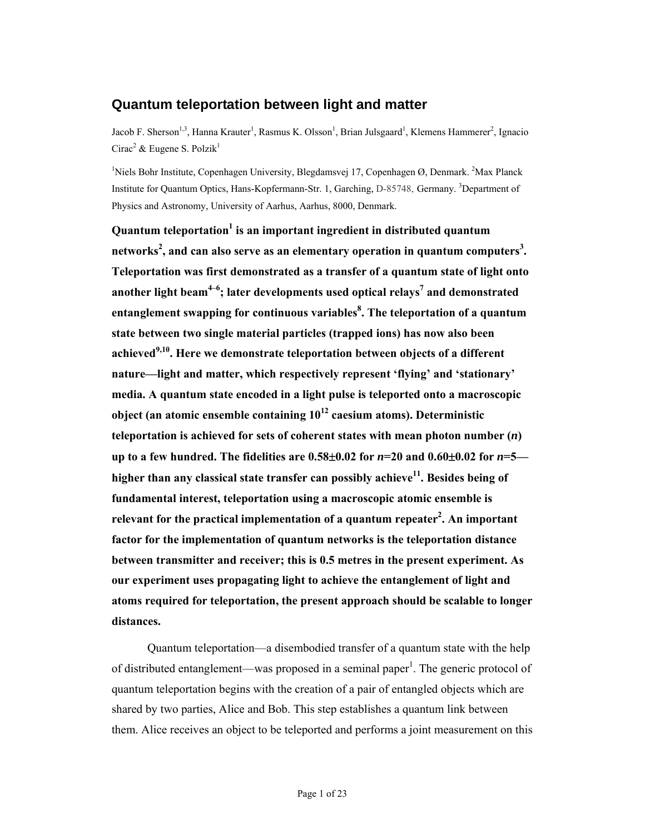# **Quantum teleportation between light and matter**

Jacob F. Sherson<sup>1,3</sup>, Hanna Krauter<sup>1</sup>, Rasmus K. Olsson<sup>1</sup>, Brian Julsgaard<sup>1</sup>, Klemens Hammerer<sup>2</sup>, Ignacio Cirac<sup>2</sup> & Eugene S. Polzik<sup>1</sup>

<sup>1</sup>Niels Bohr Institute, Copenhagen University, Blegdamsvej 17, Copenhagen Ø, Denmark. <sup>2</sup>Max Planck Institute for Quantum Optics, Hans-Kopfermann-Str. 1, Garching, D-85748, Germany. <sup>3</sup>Department of Physics and Astronomy, University of Aarhus, Aarhus, 8000, Denmark.

**Quantum teleportation<sup>1</sup> is an important ingredient in distributed quantum networks<sup>2</sup> , and can also serve as an elementary operation in quantum computers<sup>3</sup> . Teleportation was first demonstrated as a transfer of a quantum state of light onto**  another light beam<sup>4-6</sup>; later developments used optical relays<sup>7</sup> and demonstrated **entanglement swapping for continuous variables<sup>8</sup> . The teleportation of a quantum state between two single material particles (trapped ions) has now also been achieved9,10. Here we demonstrate teleportation between objects of a different nature—light and matter, which respectively represent 'flying' and 'stationary' media. A quantum state encoded in a light pulse is teleported onto a macroscopic object (an atomic ensemble containing 1012 caesium atoms). Deterministic teleportation is achieved for sets of coherent states with mean photon number (***n***) up to a few hundred. The fidelities are 0.58**±**0.02 for** *n***=20 and 0.60**±**0.02 for** *n***=5** higher than any classical state transfer can possibly achieve<sup>11</sup>. Besides being of **fundamental interest, teleportation using a macroscopic atomic ensemble is**  relevant for the practical implementation of a quantum repeater<sup>2</sup>. An important **factor for the implementation of quantum networks is the teleportation distance between transmitter and receiver; this is 0.5 metres in the present experiment. As our experiment uses propagating light to achieve the entanglement of light and atoms required for teleportation, the present approach should be scalable to longer distances.** 

Quantum teleportation—a disembodied transfer of a quantum state with the help of distributed entanglement—was proposed in a seminal paper<sup>1</sup>. The generic protocol of quantum teleportation begins with the creation of a pair of entangled objects which are shared by two parties, Alice and Bob. This step establishes a quantum link between them. Alice receives an object to be teleported and performs a joint measurement on this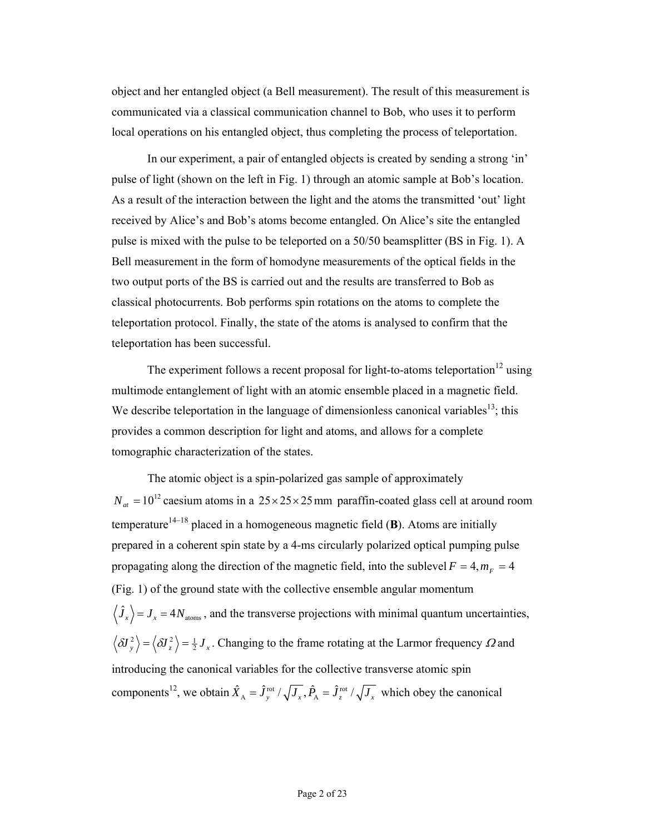object and her entangled object (a Bell measurement). The result of this measurement is communicated via a classical communication channel to Bob, who uses it to perform local operations on his entangled object, thus completing the process of teleportation.

In our experiment, a pair of entangled objects is created by sending a strong 'in' pulse of light (shown on the left in Fig. 1) through an atomic sample at Bob's location. As a result of the interaction between the light and the atoms the transmitted 'out' light received by Alice's and Bob's atoms become entangled. On Alice's site the entangled pulse is mixed with the pulse to be teleported on a 50/50 beamsplitter (BS in Fig. 1). A Bell measurement in the form of homodyne measurements of the optical fields in the two output ports of the BS is carried out and the results are transferred to Bob as classical photocurrents. Bob performs spin rotations on the atoms to complete the teleportation protocol. Finally, the state of the atoms is analysed to confirm that the teleportation has been successful.

The experiment follows a recent proposal for light-to-atoms teleportation<sup>12</sup> using multimode entanglement of light with an atomic ensemble placed in a magnetic field. We describe teleportation in the language of dimensionless canonical variables<sup>13</sup>; this provides a common description for light and atoms, and allows for a complete tomographic characterization of the states.

The atomic object is a spin-polarized gas sample of approximately  $N_{at} = 10^{12}$  caesium atoms in a  $25 \times 25 \times 25$  mm paraffin-coated glass cell at around room temperature<sup>14–18</sup> placed in a homogeneous magnetic field  $(B)$ . Atoms are initially prepared in a coherent spin state by a 4-ms circularly polarized optical pumping pulse propagating along the direction of the magnetic field, into the sublevel  $F = 4$ ,  $m_F = 4$ (Fig. 1) of the ground state with the collective ensemble angular momentum  $\langle \hat{J}_x \rangle = J_x = 4 N_{\text{atoms}}$ , and the transverse projections with minimal quantum uncertainties,  $\langle \delta J_y^2 \rangle = \langle \delta J_z^2 \rangle = \frac{1}{2} J_x$ . Changing to the frame rotating at the Larmor frequency  $\Omega$  and introducing the canonical variables for the collective transverse atomic spin components<sup>12</sup>, we obtain  $\hat{X}_A = \hat{J}_y^{\text{rot}} / \sqrt{J_x}$ ,  $\hat{P}_A = \hat{J}_z^{\text{rot}} / \sqrt{J_x}$  which obey the canonical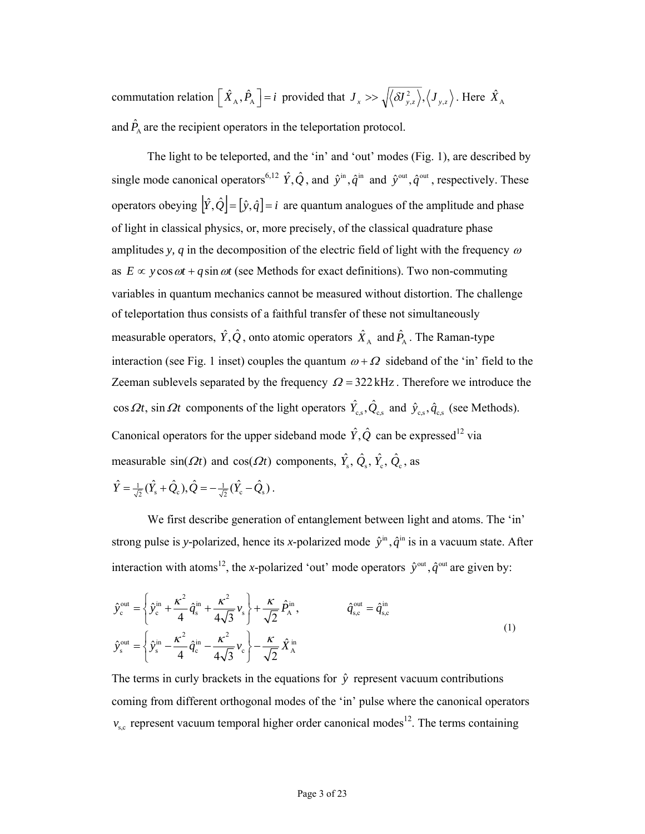commutation relation  $\left[ \hat{X}_A, \hat{P}_A \right] = i$  provided that  $J_x >> \sqrt{\langle \delta J_{y,z}^2 \rangle}, \langle J_{y,z} \rangle$ . Here  $\hat{X}_A$ and  $\hat{P}_{\scriptscriptstyle{A}}$  are the recipient operators in the teleportation protocol.

The light to be teleported, and the 'in' and 'out' modes (Fig. 1), are described by single mode canonical operators<sup>6,12</sup>  $\hat{Y}, \hat{Q}$ , and  $\hat{y}^{\text{in}}$ ,  $\hat{q}^{\text{in}}$  and  $\hat{y}^{\text{out}}$ ,  $\hat{q}^{\text{out}}$ , respectively. These operators obeying  $|\hat{Y}, \hat{Q}| = [\hat{y}, \hat{q}] = i$  are quantum analogues of the amplitude and phase of light in classical physics, or, more precisely, of the classical quadrature phase amplitudes *y, q* in the decomposition of the electric field of light with the frequency  $\omega$ as  $E \propto y \cos \omega t + q \sin \omega t$  (see Methods for exact definitions). Two non-commuting variables in quantum mechanics cannot be measured without distortion. The challenge of teleportation thus consists of a faithful transfer of these not simultaneously measurable operators,  $\hat{Y}, \hat{Q}$ , onto atomic operators  $\hat{X}_A$  and  $\hat{P}_A$ . The Raman-type interaction (see Fig. 1 inset) couples the quantum  $\omega + \Omega$  sideband of the 'in' field to the Zeeman sublevels separated by the frequency  $\Omega = 322 \text{ kHz}$ . Therefore we introduce the cos  $\Omega t$ , sin  $\Omega t$  components of the light operators  $\hat{Y}_{\text{c,s}}, \hat{Q}_{\text{c,s}}$  and  $\hat{y}_{\text{c,s}}, \hat{q}_{\text{c,s}}$  (see Methods). Canonical operators for the upper sideband mode  $\hat{Y}, \hat{Q}$  can be expressed<sup>12</sup> via measurable  $\sin(\Omega t)$  and  $\cos(\Omega t)$  components,  $\hat{Y}_s$ ,  $\hat{Q}_s$ ,  $\hat{Y}_c$ ,  $\hat{Q}_c$ , as  $\hat{Y} = \frac{1}{\sqrt{2}} (\hat{Y}_s + \hat{Q}_c), \hat{Q} = -\frac{1}{\sqrt{2}} (\hat{Y}_c - \hat{Q}_s).$ 

We first describe generation of entanglement between light and atoms. The 'in' strong pulse is y-polarized, hence its x-polarized mode  $\hat{y}^{\text{in}}$ ,  $\hat{q}^{\text{in}}$  is in a vacuum state. After interaction with atoms<sup>12</sup>, the *x*-polarized 'out' mode operators  $\hat{y}^{\text{out}}$ ,  $\hat{q}^{\text{out}}$  are given by:

$$
\hat{y}_{c}^{\text{out}} = \left\{ \hat{y}_{c}^{\text{in}} + \frac{\kappa^{2}}{4} \hat{q}_{s}^{\text{in}} + \frac{\kappa^{2}}{4\sqrt{3}} v_{s} \right\} + \frac{\kappa}{\sqrt{2}} \hat{P}_{A}^{\text{in}}, \qquad \hat{q}_{s,c}^{\text{out}} = \hat{q}_{s,c}^{\text{in}}
$$
\n
$$
\hat{y}_{s}^{\text{out}} = \left\{ \hat{y}_{s}^{\text{in}} - \frac{\kappa^{2}}{4} \hat{q}_{c}^{\text{in}} - \frac{\kappa^{2}}{4\sqrt{3}} v_{c} \right\} - \frac{\kappa}{\sqrt{2}} \hat{X}_{A}^{\text{in}} \qquad (1)
$$

The terms in curly brackets in the equations for  $\hat{v}$  represent vacuum contributions coming from different orthogonal modes of the 'in' pulse where the canonical operators  $v_{s,c}$  represent vacuum temporal higher order canonical modes<sup>12</sup>. The terms containing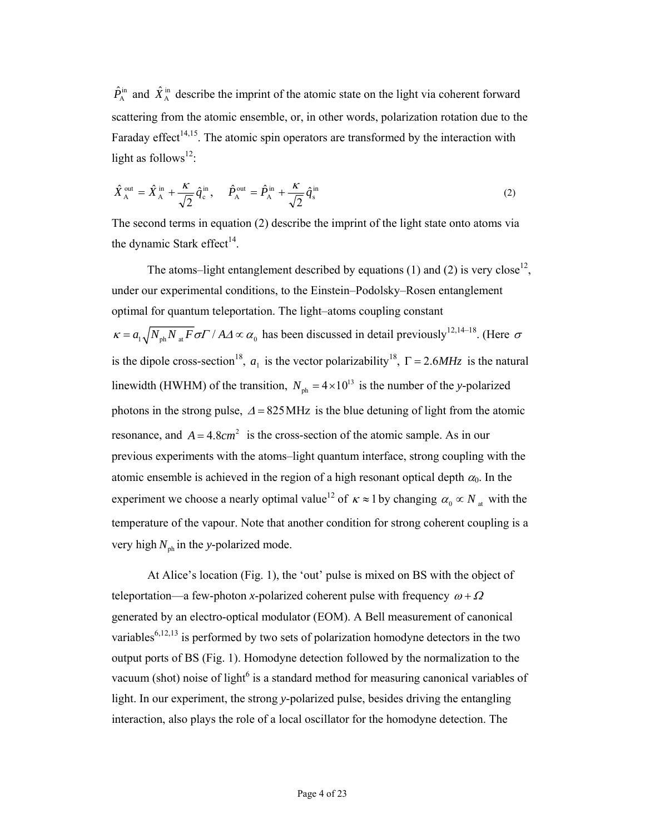$\hat{P}_{A}^{in}$  and  $\hat{X}_{A}^{in}$  describe the imprint of the atomic state on the light via coherent forward scattering from the atomic ensemble, or, in other words, polarization rotation due to the Faraday effect<sup>14,15</sup>. The atomic spin operators are transformed by the interaction with light as follows<sup>12</sup>:

$$
\hat{X}_{\mathbf{A}}^{\text{out}} = \hat{X}_{\mathbf{A}}^{\text{in}} + \frac{\kappa}{\sqrt{2}} \hat{q}_{\mathbf{c}}^{\text{in}}, \quad \hat{P}_{\mathbf{A}}^{\text{out}} = \hat{P}_{\mathbf{A}}^{\text{in}} + \frac{\kappa}{\sqrt{2}} \hat{q}_{\mathbf{s}}^{\text{in}} \tag{2}
$$

The second terms in equation (2) describe the imprint of the light state onto atoms via the dynamic Stark effect<sup>14</sup>.

The atoms–light entanglement described by equations (1) and (2) is very close<sup>12</sup>, under our experimental conditions, to the Einstein–Podolsky–Rosen entanglement optimal for quantum teleportation. The light–atoms coupling constant  $\kappa = a_1 \sqrt{N_{ph} N_{at} F} \sigma F / A \Delta \propto \alpha_0$  has been discussed in detail previously<sup>12,14–18</sup>. (Here  $\sigma$ is the dipole cross-section<sup>18</sup>,  $a_1$  is the vector polarizability<sup>18</sup>,  $\Gamma = 2.6MHz$  is the natural linewidth (HWHM) of the transition,  $N_{ph} = 4 \times 10^{13}$  is the number of the *y*-polarized photons in the strong pulse,  $\Delta = 825 \text{ MHz}$  is the blue detuning of light from the atomic resonance, and  $A = 4.8$ *cm*<sup>2</sup> is the cross-section of the atomic sample. As in our previous experiments with the atoms–light quantum interface, strong coupling with the atomic ensemble is achieved in the region of a high resonant optical depth  $\alpha_0$ . In the experiment we choose a nearly optimal value<sup>12</sup> of  $\kappa \approx 1$  by changing  $\alpha_0 \propto N_{\text{at}}$  with the temperature of the vapour. Note that another condition for strong coherent coupling is a very high  $N_{ph}$  in the *y*-polarized mode.

At Alice's location (Fig. 1), the 'out' pulse is mixed on BS with the object of teleportation—a few-photon *x*-polarized coherent pulse with frequency  $\omega + \Omega$ generated by an electro-optical modulator (EOM). A Bell measurement of canonical variables<sup>6,12,13</sup> is performed by two sets of polarization homodyne detectors in the two output ports of BS (Fig. 1). Homodyne detection followed by the normalization to the vacuum (shot) noise of light $6$  is a standard method for measuring canonical variables of light. In our experiment, the strong *y*-polarized pulse, besides driving the entangling interaction, also plays the role of a local oscillator for the homodyne detection. The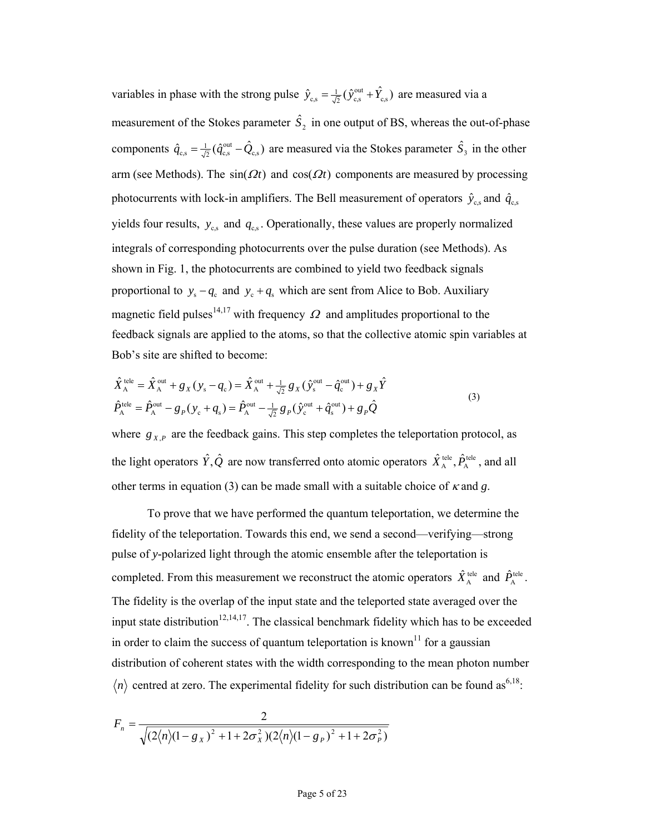variables in phase with the strong pulse  $\hat{y}_{c,s} = \frac{1}{\sqrt{2}} (\hat{y}_{c,s}^{\text{out}} + \hat{Y}_{c,s})$  are measured via a measurement of the Stokes parameter  $\hat{S}_2$  in one output of BS, whereas the out-of-phase components  $\hat{q}_{c,s} = \frac{1}{\sqrt{2}} (\hat{q}_{c,s}^{\text{out}} - \hat{Q}_{c,s})$  are measured via the Stokes parameter  $\hat{S}_3$  in the other arm (see Methods). The  $sin(\Omega t)$  and  $cos(\Omega t)$  components are measured by processing photocurrents with lock-in amplifiers. The Bell measurement of operators  $\hat{y}_{c,s}$  and  $\hat{q}_{c,s}$ yields four results,  $y_{\rm c,s}$  and  $q_{\rm c,s}$ . Operationally, these values are properly normalized integrals of corresponding photocurrents over the pulse duration (see Methods). As shown in Fig. 1, the photocurrents are combined to yield two feedback signals proportional to  $y_s - q_c$  and  $y_c + q_s$  which are sent from Alice to Bob. Auxiliary magnetic field pulses<sup>14,17</sup> with frequency  $\Omega$  and amplitudes proportional to the feedback signals are applied to the atoms, so that the collective atomic spin variables at Bob's site are shifted to become:

$$
\hat{X}_{\mathcal{A}}^{\text{tele}} = \hat{X}_{\mathcal{A}}^{\text{out}} + g_X(y_s - q_c) = \hat{X}_{\mathcal{A}}^{\text{out}} + \frac{1}{\sqrt{2}} g_X(\hat{y}_{\mathcal{S}}^{\text{out}} - \hat{q}_c^{\text{out}}) + g_X \hat{Y}
$$
\n
$$
\hat{P}_{\mathcal{A}}^{\text{tele}} = \hat{P}_{\mathcal{A}}^{\text{out}} - g_P(y_c + q_s) = \hat{P}_{\mathcal{A}}^{\text{out}} - \frac{1}{\sqrt{2}} g_P(\hat{y}_{\mathcal{C}}^{\text{out}} + \hat{q}_s^{\text{out}}) + g_P \hat{Q}
$$
\n(3)

where  $g_{X,P}$  are the feedback gains. This step completes the teleportation protocol, as the light operators  $\hat{Y}, \hat{Q}$  are now transferred onto atomic operators  $\hat{X}_{A}^{\text{tele}}$ ,  $\hat{P}_{A}^{\text{tele}}$ , and all other terms in equation (3) can be made small with a suitable choice of  $\kappa$  and  $g$ .

To prove that we have performed the quantum teleportation, we determine the fidelity of the teleportation. Towards this end, we send a second—verifying—strong pulse of *y*-polarized light through the atomic ensemble after the teleportation is completed. From this measurement we reconstruct the atomic operators  $\hat{X}_{A}^{\text{tele}}$  and  $\hat{P}_{A}^{\text{tele}}$ . The fidelity is the overlap of the input state and the teleported state averaged over the input state distribution<sup>12,14,17</sup>. The classical benchmark fidelity which has to be exceeded in order to claim the success of quantum teleportation is known<sup>11</sup> for a gaussian distribution of coherent states with the width corresponding to the mean photon number  $\langle n \rangle$  centred at zero. The experimental fidelity for such distribution can be found as<sup>6,18</sup>:

$$
F_n = \frac{2}{\sqrt{(2\langle n\rangle(1 - g_x)^2 + 1 + 2\sigma_x^2)(2\langle n\rangle(1 - g_p)^2 + 1 + 2\sigma_p^2)}}
$$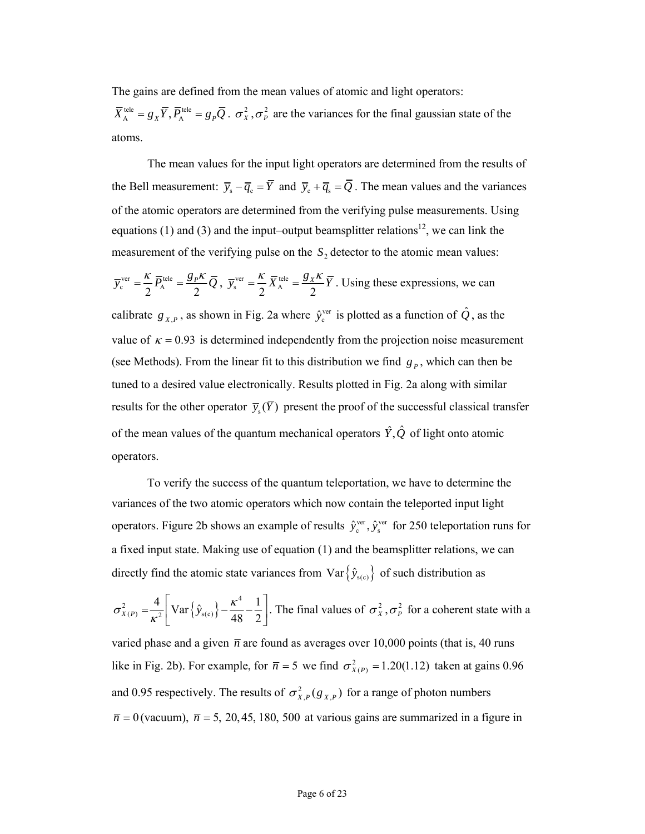The gains are defined from the mean values of atomic and light operators:

 $\overline{X}_{A}^{\text{tele}} = g_{X} \overline{Y}, \overline{P}_{A}^{\text{tele}} = g_{P} \overline{Q}$ .  $\sigma_{X}^{2}, \sigma_{P}^{2}$  are the variances for the final gaussian state of the atoms.

The mean values for the input light operators are determined from the results of the Bell measurement:  $\overline{y}_s - \overline{q}_s = \overline{Y}$  and  $\overline{y}_s + \overline{q}_s = \overline{Q}$ . The mean values and the variances of the atomic operators are determined from the verifying pulse measurements. Using equations (1) and (3) and the input–output beamsplitter relations<sup>12</sup>, we can link the measurement of the verifying pulse on the  $S<sub>2</sub>$  detector to the atomic mean values:

$$
\overline{y}_{c}^{\text{ver}} = \frac{\kappa}{2} \overline{P}_{A}^{\text{tele}} = \frac{g_{P} \kappa}{2} \overline{Q}, \ \overline{y}_{s}^{\text{ver}} = \frac{\kappa}{2} \overline{X}_{A}^{\text{tele}} = \frac{g_{X} \kappa}{2} \overline{Y}.
$$
 Using these expressions, we can calibrate  $g_{X,P}$ , as shown in Fig. 2a where  $\hat{y}_{c}^{\text{ver}}$  is plotted as a function of  $\hat{Q}$ , as the value of  $\kappa = 0.93$  is determined independently from the projection noise measurement (see Methods). From the linear fit to this distribution we find  $g_{P}$ , which can then be tuned to a desired value electronically. Results plotted in Fig. 2a along with similar results for the other operator  $\overline{y}_{s}(\overline{Y})$  present the proof of the successful classical transfer of the mean values of the quantum mechanical operators  $\hat{Y}, \hat{Q}$  of light onto atomic

operators.

To verify the success of the quantum teleportation, we have to determine the variances of the two atomic operators which now contain the teleported input light operators. Figure 2b shows an example of results  $\hat{y}_c^{\text{ver}}, \hat{y}_s^{\text{ver}}$  for 250 teleportation runs for a fixed input state. Making use of equation (1) and the beamsplitter relations, we can directly find the atomic state variances from Var $\{\hat{y}_{s(c)}\}$  of such distribution as

$$
\sigma_{X(P)}^2 = \frac{4}{\kappa^2} \left[ \text{Var} \{ \hat{y}_{s(c)} \} - \frac{\kappa^4}{48} - \frac{1}{2} \right].
$$
 The final values of  $\sigma_X^2$ ,  $\sigma_P^2$  for a coherent state with a varied phase and a given  $\bar{n}$  are found as averages over 10,000 points (that is, 40 runs like in Fig. 2b). For example, for  $\bar{n} = 5$  we find  $\sigma_{X(P)}^2 = 1.20(1.12)$  taken at gains 0.96 and 0.95 respectively. The results of  $\sigma_{X,P}^2(g_{X,P})$  for a range of photon numbers  $\bar{n} = 0$  (vacuum),  $\bar{n} = 5$ , 20,45,180,500 at various gains are summarized in a figure in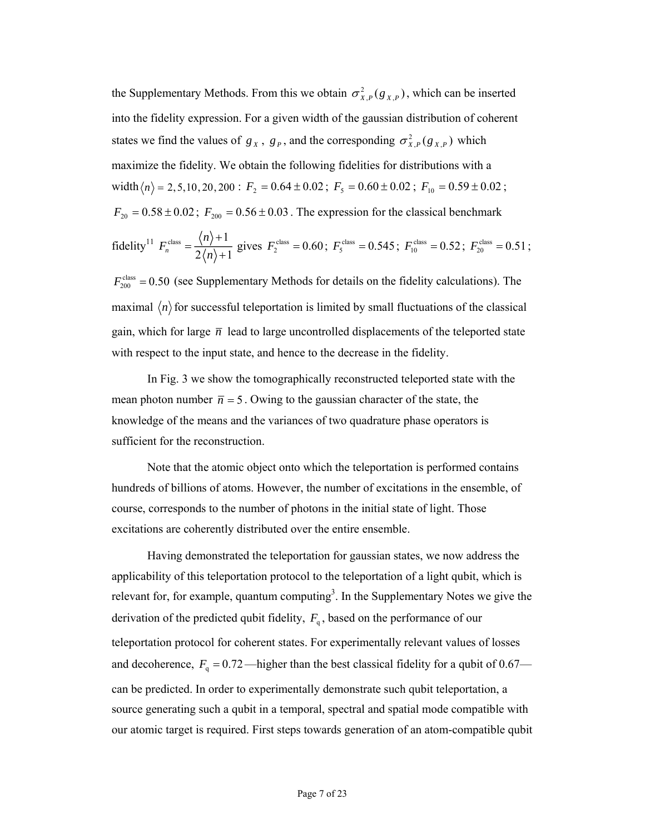the Supplementary Methods. From this we obtain  $\sigma_{X,P}^2(g_{X,P})$ , which can be inserted into the fidelity expression. For a given width of the gaussian distribution of coherent states we find the values of  $g_X$ ,  $g_p$ , and the corresponding  $\sigma_{X,p}^2(g_{X,p})$  which maximize the fidelity. We obtain the following fidelities for distributions with a width  $\langle n \rangle = 2, 5, 10, 20, 200$ :  $F_2 = 0.64 \pm 0.02$ ;  $F_5 = 0.60 \pm 0.02$ ;  $F_{10} = 0.59 \pm 0.02$ ;  $F_{20} = 0.58 \pm 0.02$ ;  $F_{200} = 0.56 \pm 0.03$ . The expression for the classical benchmark fidelity<sup>11</sup>  $F_n^{\text{class}} = \frac{\langle n \rangle + 1}{2\langle n \rangle}$  $n \quad -2\langle n\rangle +1$ *n F*  $=\frac{\langle n \rangle + 1}{2\langle n \rangle + 1}$  gives  $F_2^{\text{class}} = 0.60$ ;  $F_5^{\text{class}} = 0.545$ ;  $F_{10}^{\text{class}} = 0.52$ ;  $F_{20}^{\text{class}} = 0.51$ ;

 $F_{200}^{\text{class}} = 0.50$  (see Supplementary Methods for details on the fidelity calculations). The maximal  $\langle n \rangle$  for successful teleportation is limited by small fluctuations of the classical gain, which for large  $\bar{n}$  lead to large uncontrolled displacements of the teleported state with respect to the input state, and hence to the decrease in the fidelity.

In Fig. 3 we show the tomographically reconstructed teleported state with the mean photon number  $\bar{n} = 5$ . Owing to the gaussian character of the state, the knowledge of the means and the variances of two quadrature phase operators is sufficient for the reconstruction.

Note that the atomic object onto which the teleportation is performed contains hundreds of billions of atoms. However, the number of excitations in the ensemble, of course, corresponds to the number of photons in the initial state of light. Those excitations are coherently distributed over the entire ensemble.

Having demonstrated the teleportation for gaussian states, we now address the applicability of this teleportation protocol to the teleportation of a light qubit, which is relevant for, for example, quantum computing<sup>3</sup>. In the Supplementary Notes we give the derivation of the predicted qubit fidelity,  $F_q$ , based on the performance of our teleportation protocol for coherent states. For experimentally relevant values of losses and decoherence,  $F_q = 0.72$ —higher than the best classical fidelity for a qubit of 0.67 can be predicted. In order to experimentally demonstrate such qubit teleportation, a source generating such a qubit in a temporal, spectral and spatial mode compatible with our atomic target is required. First steps towards generation of an atom-compatible qubit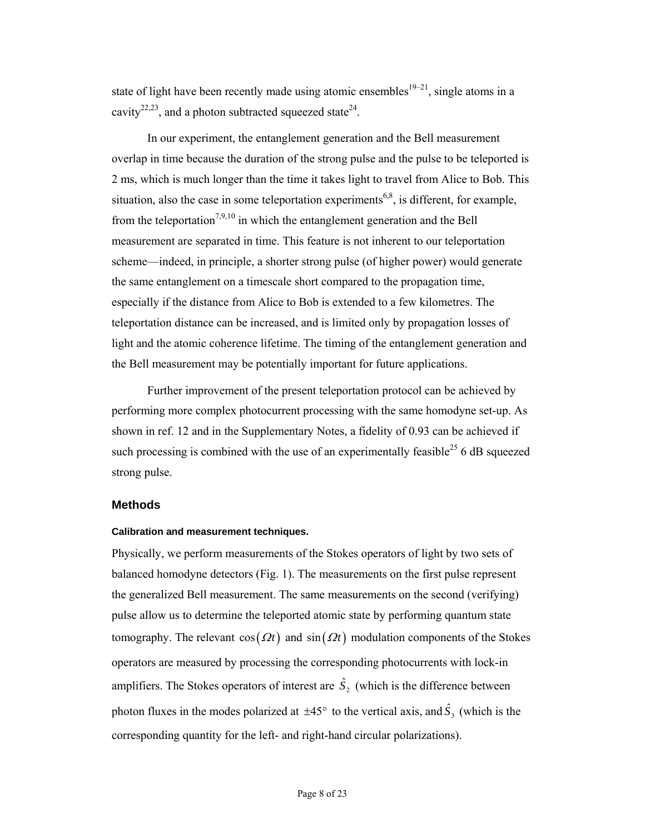state of light have been recently made using atomic ensembles<sup>19–21</sup>, single atoms in a cavity<sup>22,23</sup>, and a photon subtracted squeezed state<sup>24</sup>.

In our experiment, the entanglement generation and the Bell measurement overlap in time because the duration of the strong pulse and the pulse to be teleported is 2 ms, which is much longer than the time it takes light to travel from Alice to Bob. This situation, also the case in some teleportation experiments<sup>6,8</sup>, is different, for example, from the teleportation<sup>7,9,10</sup> in which the entanglement generation and the Bell measurement are separated in time. This feature is not inherent to our teleportation scheme—indeed, in principle, a shorter strong pulse (of higher power) would generate the same entanglement on a timescale short compared to the propagation time, especially if the distance from Alice to Bob is extended to a few kilometres. The teleportation distance can be increased, and is limited only by propagation losses of light and the atomic coherence lifetime. The timing of the entanglement generation and the Bell measurement may be potentially important for future applications.

Further improvement of the present teleportation protocol can be achieved by performing more complex photocurrent processing with the same homodyne set-up. As shown in ref. 12 and in the Supplementary Notes, a fidelity of 0.93 can be achieved if such processing is combined with the use of an experimentally feasible<sup>25</sup> 6 dB squeezed strong pulse.

## **Methods**

### **Calibration and measurement techniques.**

Physically, we perform measurements of the Stokes operators of light by two sets of balanced homodyne detectors (Fig. 1). The measurements on the first pulse represent the generalized Bell measurement. The same measurements on the second (verifying) pulse allow us to determine the teleported atomic state by performing quantum state tomography. The relevant  $cos(\Omega t)$  and  $sin(\Omega t)$  modulation components of the Stokes operators are measured by processing the corresponding photocurrents with lock-in amplifiers. The Stokes operators of interest are  $\hat{S}_2$  (which is the difference between photon fluxes in the modes polarized at  $\pm 45^{\circ}$  to the vertical axis, and  $\hat{S}_3$  (which is the corresponding quantity for the left- and right-hand circular polarizations).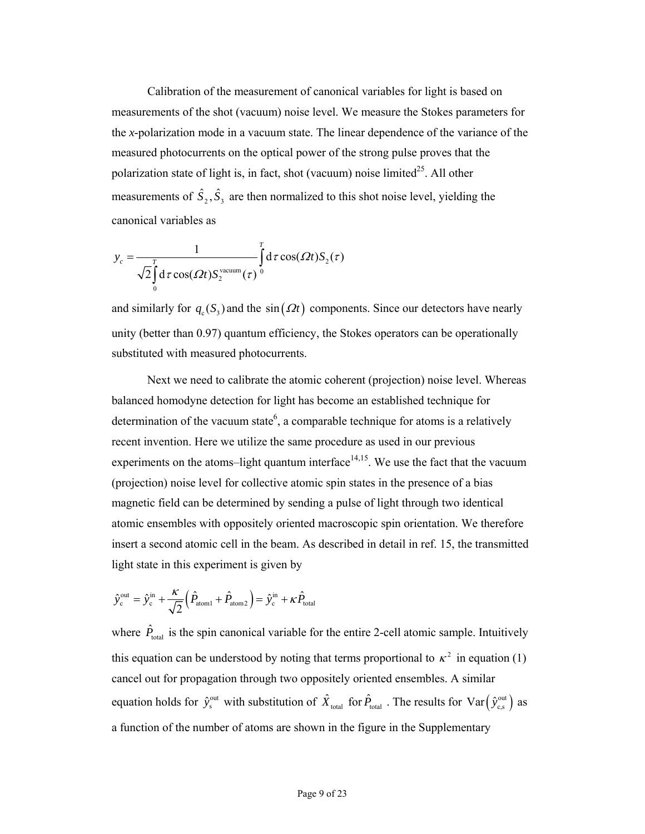Calibration of the measurement of canonical variables for light is based on measurements of the shot (vacuum) noise level. We measure the Stokes parameters for the *x*-polarization mode in a vacuum state. The linear dependence of the variance of the measured photocurrents on the optical power of the strong pulse proves that the polarization state of light is, in fact, shot (vacuum) noise limited $^{25}$ . All other measurements of  $\hat{S}_2$ ,  $\hat{S}_3$  are then normalized to this shot noise level, yielding the canonical variables as

$$
y_c = \frac{1}{\sqrt{2} \int_0^T d\tau \cos(\Omega t) S_2^{\text{vacuum}}(\tau)} \int_0^T d\tau \cos(\Omega t) S_2(\tau)
$$

and similarly for  $q_c$  (S<sub>3</sub>) and the sin ( $\Omega t$ ) components. Since our detectors have nearly unity (better than 0.97) quantum efficiency, the Stokes operators can be operationally substituted with measured photocurrents.

Next we need to calibrate the atomic coherent (projection) noise level. Whereas balanced homodyne detection for light has become an established technique for determination of the vacuum state<sup>6</sup>, a comparable technique for atoms is a relatively recent invention. Here we utilize the same procedure as used in our previous experiments on the atoms-light quantum interface<sup> $14,15$ </sup>. We use the fact that the vacuum (projection) noise level for collective atomic spin states in the presence of a bias magnetic field can be determined by sending a pulse of light through two identical atomic ensembles with oppositely oriented macroscopic spin orientation. We therefore insert a second atomic cell in the beam. As described in detail in ref. 15, the transmitted light state in this experiment is given by

$$
\hat{y}_{\text{c}}^{\text{out}} = \hat{y}_{\text{c}}^{\text{in}} + \frac{\kappa}{\sqrt{2}} \Big( \hat{P}_{\text{atom1}} + \hat{P}_{\text{atom2}} \Big) = \hat{y}_{\text{c}}^{\text{in}} + \kappa \hat{P}_{\text{total}}
$$

where  $\hat{P}_{\text{total}}$  is the spin canonical variable for the entire 2-cell atomic sample. Intuitively this equation can be understood by noting that terms proportional to  $\kappa^2$  in equation (1) cancel out for propagation through two oppositely oriented ensembles. A similar equation holds for  $\hat{y}^{\text{out}}_s$  with substitution of  $\hat{X}_{total}$  for  $\hat{P}_{total}$ . The results for  $Var(\hat{y}^{\text{out}}_{cs})$  as a function of the number of atoms are shown in the figure in the Supplementary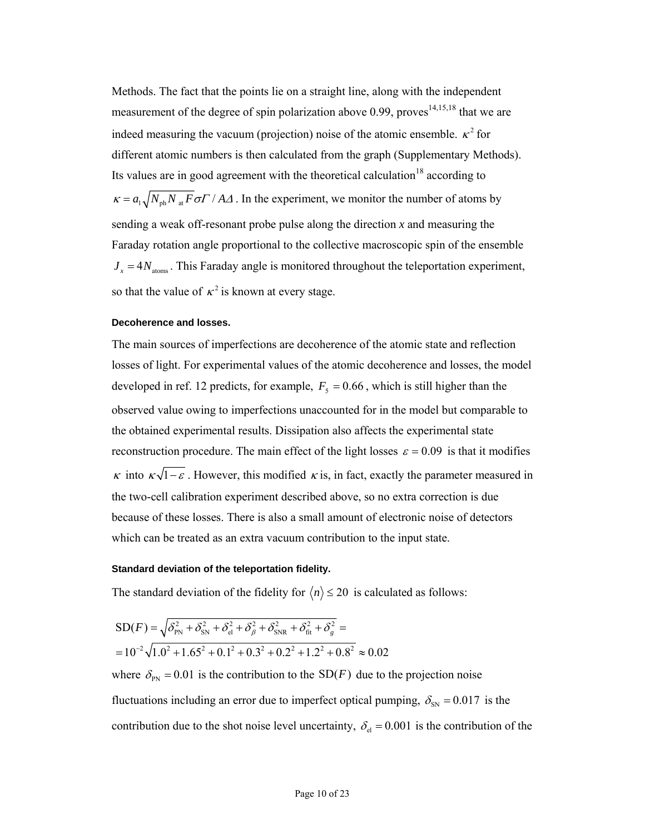Methods. The fact that the points lie on a straight line, along with the independent measurement of the degree of spin polarization above 0.99, proves $14,15,18$  that we are indeed measuring the vacuum (projection) noise of the atomic ensemble.  $\kappa^2$  for different atomic numbers is then calculated from the graph (Supplementary Methods). Its values are in good agreement with the theoretical calculation<sup>18</sup> according to  $\kappa = a_1 \sqrt{N_{\rm ph} N_{\rm at} F} \sigma F / A \Delta$ . In the experiment, we monitor the number of atoms by sending a weak off-resonant probe pulse along the direction *x* and measuring the Faraday rotation angle proportional to the collective macroscopic spin of the ensemble  $J_x = 4N_{\text{atoms}}$ . This Faraday angle is monitored throughout the teleportation experiment, so that the value of  $\kappa^2$  is known at every stage.

#### **Decoherence and losses.**

The main sources of imperfections are decoherence of the atomic state and reflection losses of light. For experimental values of the atomic decoherence and losses, the model developed in ref. 12 predicts, for example,  $F<sub>5</sub> = 0.66$ , which is still higher than the observed value owing to imperfections unaccounted for in the model but comparable to the obtained experimental results. Dissipation also affects the experimental state reconstruction procedure. The main effect of the light losses  $\varepsilon = 0.09$  is that it modifies κ into  $\kappa \sqrt{1-\varepsilon}$ . However, this modified  $\kappa$  is, in fact, exactly the parameter measured in the two-cell calibration experiment described above, so no extra correction is due because of these losses. There is also a small amount of electronic noise of detectors which can be treated as an extra vacuum contribution to the input state.

### **Standard deviation of the teleportation fidelity.**

The standard deviation of the fidelity for  $\langle n \rangle \le 20$  is calculated as follows:

$$
SD(F) = \sqrt{\delta_{PN}^2 + \delta_{SN}^2 + \delta_{el}^2 + \delta_{\beta}^2 + \delta_{SNR}^2 + \delta_{fit}^2 + \delta_{g}^2} =
$$
  
= 10<sup>-2</sup>  $\sqrt{1.0^2 + 1.65^2 + 0.1^2 + 0.3^2 + 0.2^2 + 1.2^2 + 0.8^2}$   $\approx 0.02$ 

where  $\delta_{PN} = 0.01$  is the contribution to the SD(*F*) due to the projection noise fluctuations including an error due to imperfect optical pumping,  $\delta_{\rm SN} = 0.017$  is the contribution due to the shot noise level uncertainty,  $\delta_{el} = 0.001$  is the contribution of the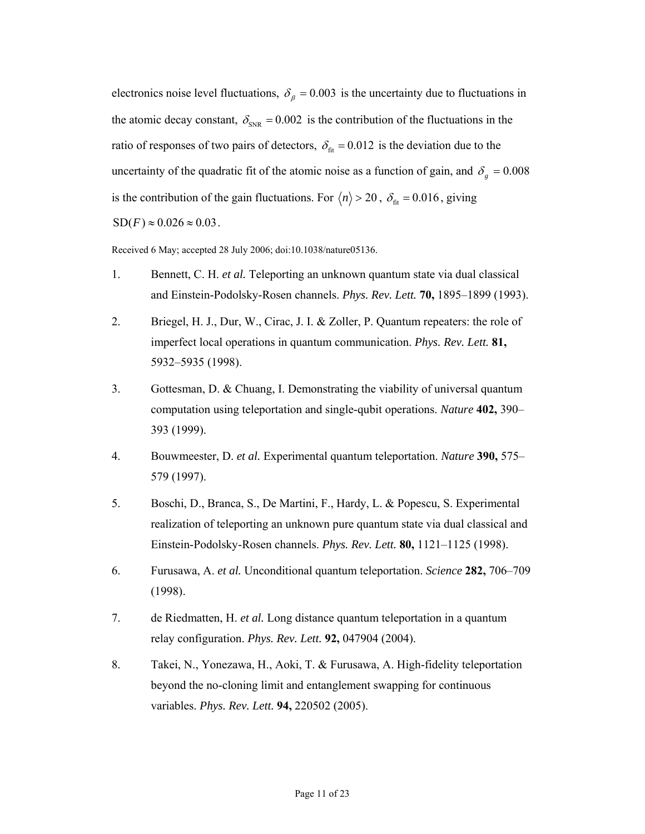electronics noise level fluctuations,  $\delta_{\beta} = 0.003$  is the uncertainty due to fluctuations in the atomic decay constant,  $\delta_{SNR} = 0.002$  is the contribution of the fluctuations in the ratio of responses of two pairs of detectors,  $\delta_{\text{fit}} = 0.012$  is the deviation due to the uncertainty of the quadratic fit of the atomic noise as a function of gain, and  $\delta_g = 0.008$ is the contribution of the gain fluctuations. For  $\langle n \rangle > 20$ ,  $\delta_{\text{fit}} = 0.016$ , giving  $SD(F) \approx 0.026 \approx 0.03$ .

Received 6 May; accepted 28 July 2006; doi:10.1038/nature05136.

- 1. Bennett, C. H. *et al.* Teleporting an unknown quantum state via dual classical and Einstein-Podolsky-Rosen channels. *Phys. Rev. Lett.* **70,** 1895–1899 (1993).
- 2. Briegel, H. J., Dur, W., Cirac, J. I. & Zoller, P. Quantum repeaters: the role of imperfect local operations in quantum communication. *Phys. Rev. Lett.* **81,** 5932–5935 (1998).
- 3. Gottesman, D. & Chuang, I. Demonstrating the viability of universal quantum computation using teleportation and single-qubit operations. *Nature* **402,** 390– 393 (1999).
- 4. Bouwmeester, D. *et al.* Experimental quantum teleportation. *Nature* **390,** 575– 579 (1997).
- 5. Boschi, D., Branca, S., De Martini, F., Hardy, L. & Popescu, S. Experimental realization of teleporting an unknown pure quantum state via dual classical and Einstein-Podolsky-Rosen channels. *Phys. Rev. Lett.* **80,** 1121–1125 (1998).
- 6. Furusawa, A. *et al.* Unconditional quantum teleportation. *Science* **282,** 706–709 (1998).
- 7. de Riedmatten, H. *et al.* Long distance quantum teleportation in a quantum relay configuration. *Phys. Rev. Lett.* **92,** 047904 (2004).
- 8. Takei, N., Yonezawa, H., Aoki, T. & Furusawa, A. High-fidelity teleportation beyond the no-cloning limit and entanglement swapping for continuous variables. *Phys. Rev. Lett.* **94,** 220502 (2005).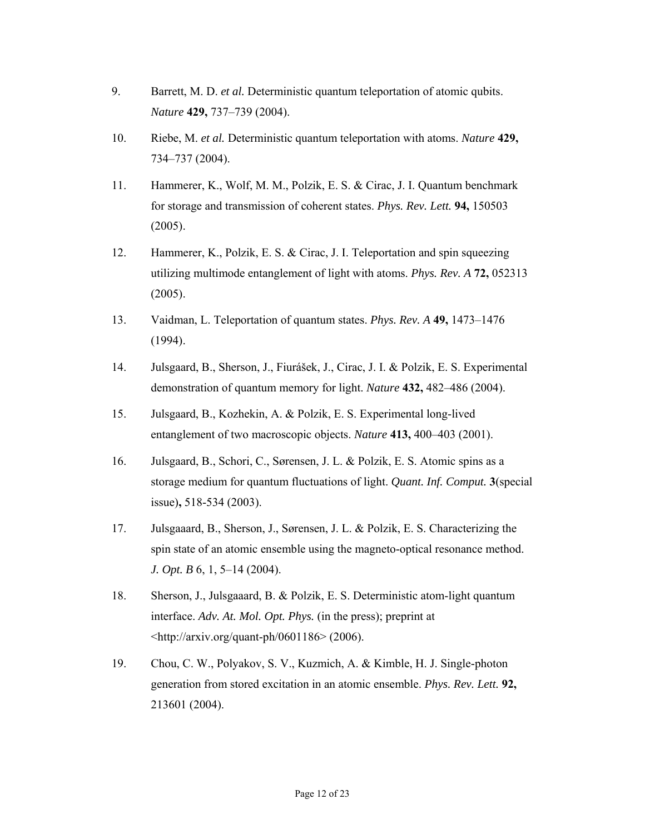- 9. Barrett, M. D. *et al.* Deterministic quantum teleportation of atomic qubits. *Nature* **429,** 737–739 (2004).
- 10. Riebe, M. *et al.* Deterministic quantum teleportation with atoms. *Nature* **429,** 734–737 (2004).
- 11. Hammerer, K., Wolf, M. M., Polzik, E. S. & Cirac, J. I. Quantum benchmark for storage and transmission of coherent states. *Phys. Rev. Lett.* **94,** 150503 (2005).
- 12. Hammerer, K., Polzik, E. S. & Cirac, J. I. Teleportation and spin squeezing utilizing multimode entanglement of light with atoms. *Phys. Rev. A* **72,** 052313 (2005).
- 13. Vaidman, L. Teleportation of quantum states. *Phys. Rev. A* **49,** 1473–1476 (1994).
- 14. Julsgaard, B., Sherson, J., Fiurášek, J., Cirac, J. I. & Polzik, E. S. Experimental demonstration of quantum memory for light. *Nature* **432,** 482–486 (2004).
- 15. Julsgaard, B., Kozhekin, A. & Polzik, E. S. Experimental long-lived entanglement of two macroscopic objects. *Nature* **413,** 400–403 (2001).
- 16. Julsgaard, B., Schori, C., Sørensen, J. L. & Polzik, E. S. Atomic spins as a storage medium for quantum fluctuations of light. *Quant. Inf. Comput.* **3**(special issue)**,** 518-534 (2003).
- 17. Julsgaaard, B., Sherson, J., Sørensen, J. L. & Polzik, E. S. Characterizing the spin state of an atomic ensemble using the magneto-optical resonance method. *J. Opt. B* 6, 1, 5–14 (2004).
- 18. Sherson, J., Julsgaaard, B. & Polzik, E. S. Deterministic atom-light quantum interface. *Adv. At. Mol. Opt. Phys.* (in the press); preprint at <http://arxiv.org/quant-ph/0601186> (2006).
- 19. Chou, C. W., Polyakov, S. V., Kuzmich, A. & Kimble, H. J. Single-photon generation from stored excitation in an atomic ensemble. *Phys. Rev. Lett.* **92,** 213601 (2004).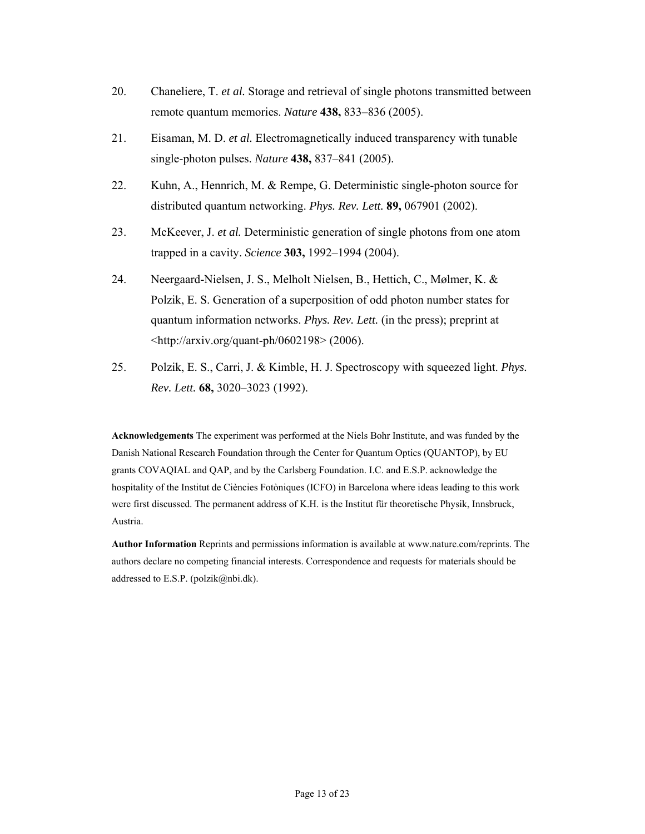- 20. Chaneliere, T. *et al.* Storage and retrieval of single photons transmitted between remote quantum memories. *Nature* **438,** 833–836 (2005).
- 21. Eisaman, M. D. *et al.* Electromagnetically induced transparency with tunable single-photon pulses. *Nature* **438,** 837–841 (2005).
- 22. Kuhn, A., Hennrich, M. & Rempe, G. Deterministic single-photon source for distributed quantum networking. *Phys. Rev. Lett.* **89,** 067901 (2002).
- 23. McKeever, J. *et al.* Deterministic generation of single photons from one atom trapped in a cavity. *Science* **303,** 1992–1994 (2004).
- 24. Neergaard-Nielsen, J. S., Melholt Nielsen, B., Hettich, C., Mølmer, K. & Polzik, E. S. Generation of a superposition of odd photon number states for quantum information networks. *Phys. Rev. Lett.* (in the press); preprint at  $\lt$ http://arxiv.org/quant-ph/0602198> (2006).
- 25. Polzik, E. S., Carri, J. & Kimble, H. J. Spectroscopy with squeezed light. *Phys. Rev. Lett.* **68,** 3020–3023 (1992).

**Acknowledgements** The experiment was performed at the Niels Bohr Institute, and was funded by the Danish National Research Foundation through the Center for Quantum Optics (QUANTOP), by EU grants COVAQIAL and QAP, and by the Carlsberg Foundation. I.C. and E.S.P. acknowledge the hospitality of the Institut de Ciències Fotòniques (ICFO) in Barcelona where ideas leading to this work were first discussed. The permanent address of K.H. is the Institut für theoretische Physik, Innsbruck, Austria.

**Author Information** Reprints and permissions information is available at www.nature.com/reprints. The authors declare no competing financial interests. Correspondence and requests for materials should be addressed to E.S.P. (polzik@nbi.dk).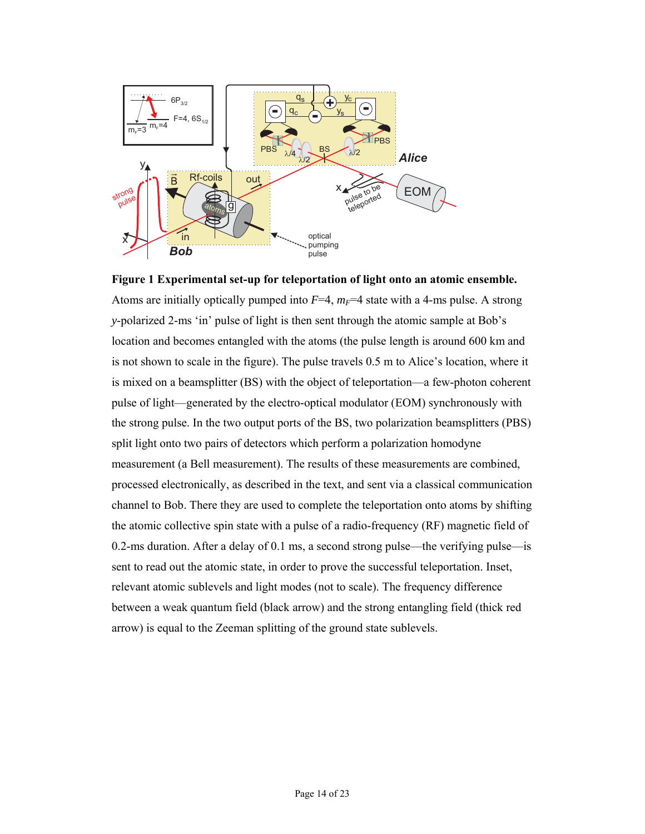

**Figure 1 Experimental set-up for teleportation of light onto an atomic ensemble.** Atoms are initially optically pumped into  $F=4$ ,  $m_F=4$  state with a 4-ms pulse. A strong *y*-polarized 2-ms 'in' pulse of light is then sent through the atomic sample at Bob's location and becomes entangled with the atoms (the pulse length is around 600 km and is not shown to scale in the figure). The pulse travels 0.5 m to Alice's location, where it is mixed on a beamsplitter (BS) with the object of teleportation—a few-photon coherent pulse of light—generated by the electro-optical modulator (EOM) synchronously with the strong pulse. In the two output ports of the BS, two polarization beamsplitters (PBS) split light onto two pairs of detectors which perform a polarization homodyne measurement (a Bell measurement). The results of these measurements are combined, processed electronically, as described in the text, and sent via a classical communication channel to Bob. There they are used to complete the teleportation onto atoms by shifting the atomic collective spin state with a pulse of a radio-frequency (RF) magnetic field of 0.2-ms duration. After a delay of 0.1 ms, a second strong pulse—the verifying pulse—is sent to read out the atomic state, in order to prove the successful teleportation. Inset, relevant atomic sublevels and light modes (not to scale). The frequency difference between a weak quantum field (black arrow) and the strong entangling field (thick red arrow) is equal to the Zeeman splitting of the ground state sublevels.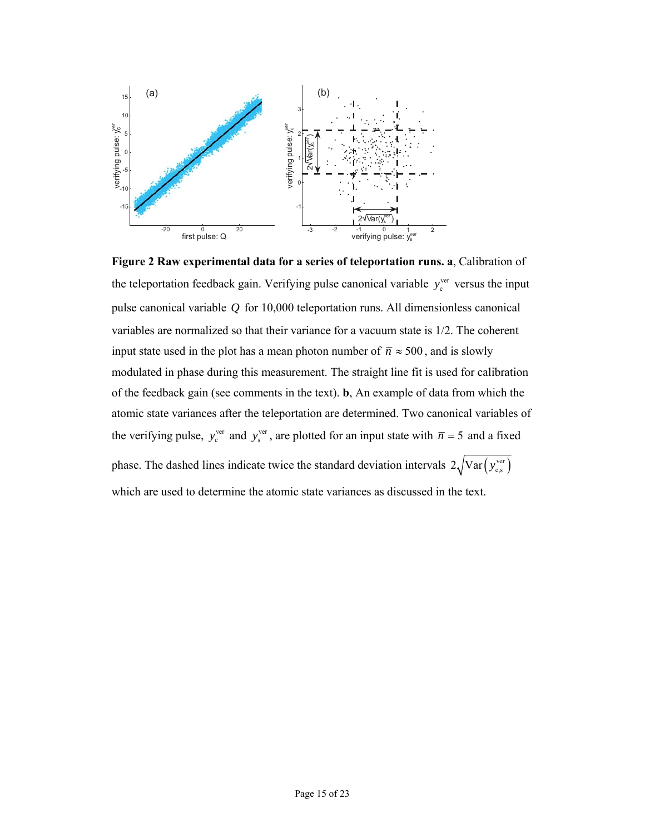

**Figure 2 Raw experimental data for a series of teleportation runs. a**, Calibration of the teleportation feedback gain. Verifying pulse canonical variable  $y_c^{ver}$  versus the input pulse canonical variable *Q* for 10,000 teleportation runs. All dimensionless canonical variables are normalized so that their variance for a vacuum state is 1/2. The coherent input state used in the plot has a mean photon number of  $\bar{n} \approx 500$ , and is slowly modulated in phase during this measurement. The straight line fit is used for calibration of the feedback gain (see comments in the text). **b**, An example of data from which the atomic state variances after the teleportation are determined. Two canonical variables of the verifying pulse,  $y_c^{ver}$  and  $y_s^{ver}$ , are plotted for an input state with  $\bar{n} = 5$  and a fixed phase. The dashed lines indicate twice the standard deviation intervals  $2\sqrt{\text{Var}(y_{es}^{\text{ver}})}$ which are used to determine the atomic state variances as discussed in the text.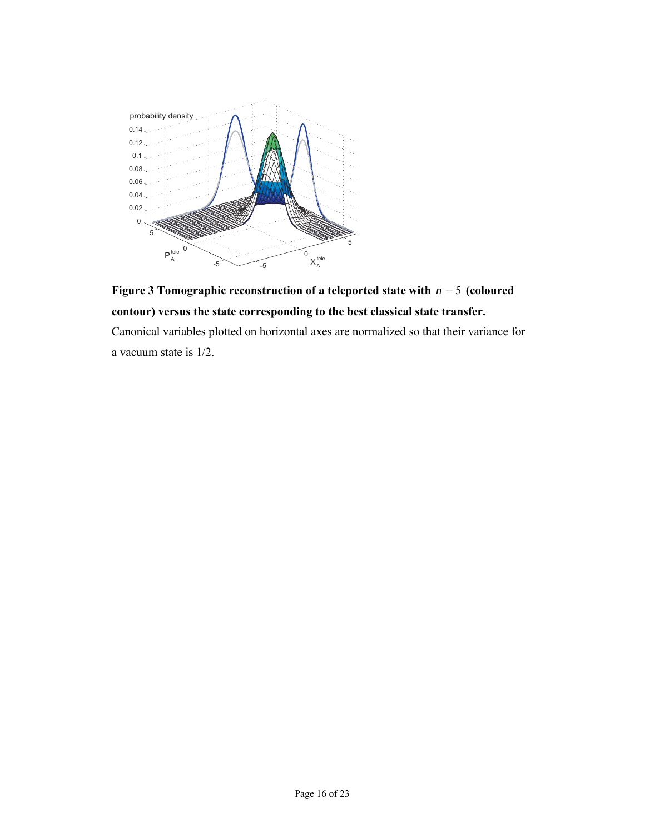



Canonical variables plotted on horizontal axes are normalized so that their variance for a vacuum state is 1/2.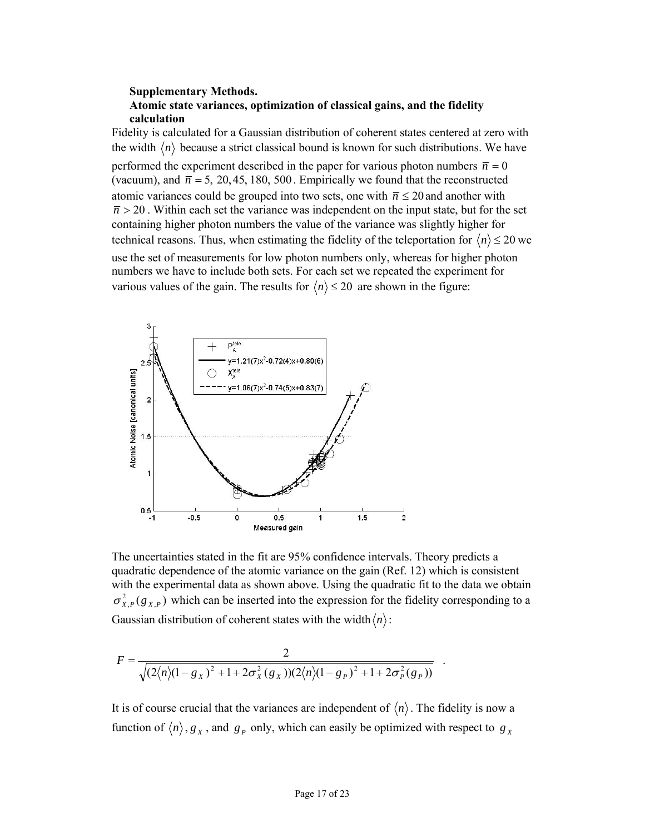## **Supplementary Methods. Atomic state variances, optimization of classical gains, and the fidelity calculation**

Fidelity is calculated for a Gaussian distribution of coherent states centered at zero with the width  $\langle n \rangle$  because a strict classical bound is known for such distributions. We have performed the experiment described in the paper for various photon numbers  $\bar{n} = 0$ (vacuum), and  $\bar{n} = 5$ , 20, 45, 180, 500. Empirically we found that the reconstructed atomic variances could be grouped into two sets, one with  $\bar{n} \le 20$  and another with  $\overline{n}$  > 20. Within each set the variance was independent on the input state, but for the set containing higher photon numbers the value of the variance was slightly higher for technical reasons. Thus, when estimating the fidelity of the teleportation for  $\langle n \rangle \leq 20$  we use the set of measurements for low photon numbers only, whereas for higher photon numbers we have to include both sets. For each set we repeated the experiment for various values of the gain. The results for  $\langle n \rangle \le 20$  are shown in the figure:



The uncertainties stated in the fit are 95% confidence intervals. Theory predicts a quadratic dependence of the atomic variance on the gain (Ref. 12) which is consistent with the experimental data as shown above. Using the quadratic fit to the data we obtain  $\sigma_{X,P}^2(g_{X,P})$  which can be inserted into the expression for the fidelity corresponding to a Gaussian distribution of coherent states with the width  $\langle n \rangle$ :

$$
F = \frac{2}{\sqrt{(2\langle n\rangle(1-g_X)^2 + 1 + 2\sigma_X^2(g_X))(2\langle n\rangle(1-g_P)^2 + 1 + 2\sigma_P^2(g_P))}}.
$$

It is of course crucial that the variances are independent of  $\langle n \rangle$ . The fidelity is now a function of  $\langle n \rangle$ ,  $g_X$ , and  $g_P$  only, which can easily be optimized with respect to  $g_X$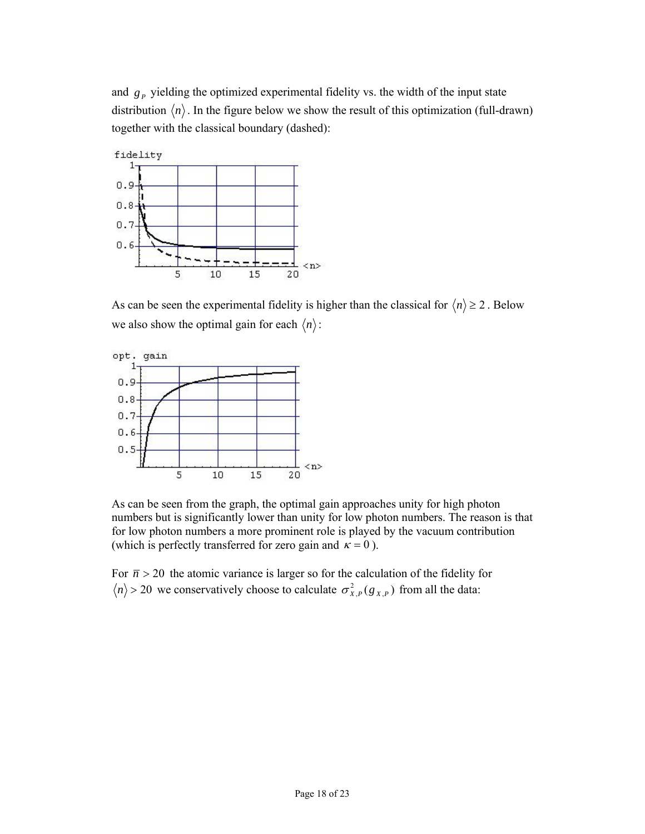and  $g<sub>P</sub>$  yielding the optimized experimental fidelity vs. the width of the input state distribution  $\langle n \rangle$ . In the figure below we show the result of this optimization (full-drawn) together with the classical boundary (dashed):



As can be seen the experimental fidelity is higher than the classical for  $\langle n \rangle \ge 2$ . Below we also show the optimal gain for each  $\langle n \rangle$ :



As can be seen from the graph, the optimal gain approaches unity for high photon numbers but is significantly lower than unity for low photon numbers. The reason is that for low photon numbers a more prominent role is played by the vacuum contribution (which is perfectly transferred for zero gain and  $\kappa = 0$ ).

For  $\bar{n} > 20$  the atomic variance is larger so for the calculation of the fidelity for  $n$  > 20 we conservatively choose to calculate  $\sigma_{X,P}^2(g_{X,P})$  from all the data: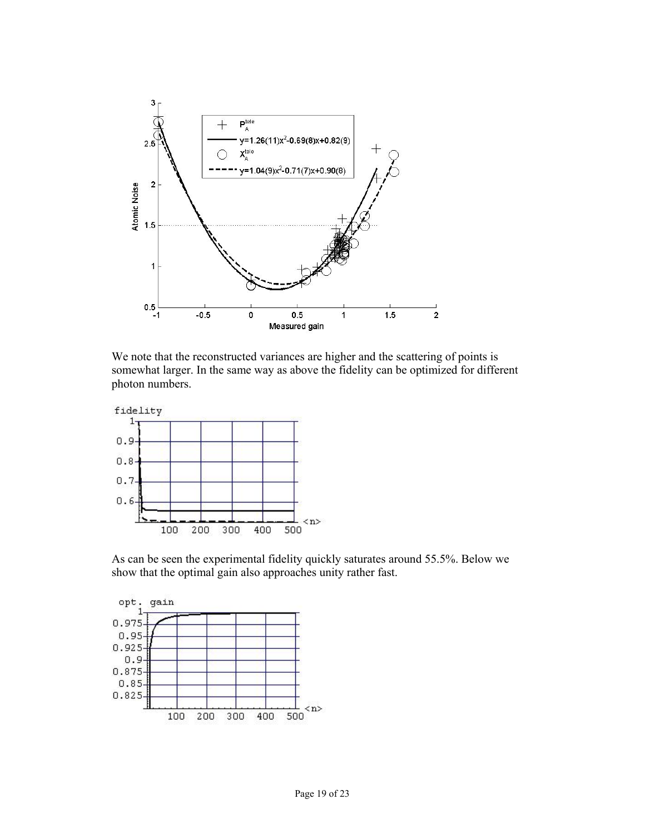

We note that the reconstructed variances are higher and the scattering of points is somewhat larger. In the same way as above the fidelity can be optimized for different photon numbers.



As can be seen the experimental fidelity quickly saturates around 55.5%. Below we show that the optimal gain also approaches unity rather fast.

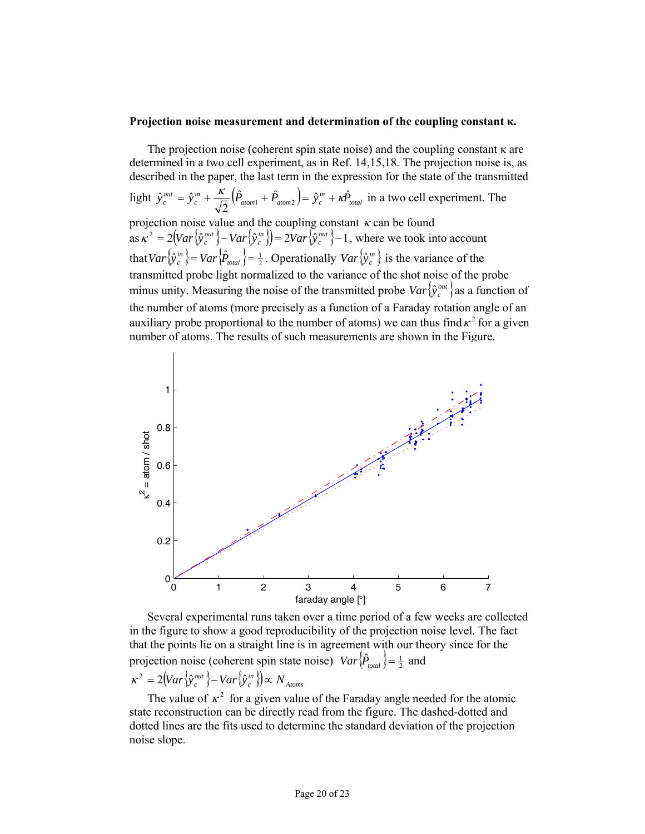#### **Projection noise measurement and determination of the coupling constant κ.**

The projection noise (coherent spin state noise) and the coupling constant κ are determined in a two cell experiment, as in Ref. 14,15,18. The projection noise is, as described in the paper, the last term in the expression for the state of the transmitted light  $\hat{y}_c^{out} = \hat{y}_c^{in} + \frac{\kappa}{\sqrt{2}} (\hat{P}_{atom1} + \hat{P}_{atom2}) = \hat{y}_c^{in} + \kappa \hat{P}_{total}$  in a two cell experiment. The projection noise value and the coupling constant  $\kappa$  can be found  $\int \frac{1}{c} \cos \kappa^2 = 2 \left( \frac{Var}{\hat{y}_c^{\omega}} \right) - \frac{Var}{\hat{y}_c^{\omega}} \right) = 2 \frac{Var}{\hat{y}_c^{\omega}} - 1$ , where we took into account that  $Var\{\hat{y}_c^m\} = Var\{\hat{P}_{total}\} = \frac{1}{2}$ . Operationally  $Var\{\hat{y}_c^m\}$  is the variance of the transmitted probe light normalized to the variance of the shot noise of the probe minus unity. Measuring the noise of the transmitted probe  $Var\{\hat{y}_c^{out}\}$  as a function of the number of atoms (more precisely as a function of a Faraday rotation angle of an auxiliary probe proportional to the number of atoms) we can thus find  $\kappa^2$  for a given number of atoms. The results of such measurements are shown in the Figure.



Several experimental runs taken over a time period of a few weeks are collected in the figure to show a good reproducibility of the projection noise level. The fact that the points lie on a straight line is in agreement with our theory since for the projection noise (coherent spin state noise)  $Var\{\hat{P}_{total}\} = \frac{1}{2}$  and  $\langle K^2 \rangle = 2 \left( \frac{Var}{\hat{v}_c^{\omega}} \right) - \frac{Var}{\hat{v}_c^{\omega}} \left( \frac{\hat{v}_c^{\omega}}{\hat{v}_c^{\omega}} \right) \propto N_{\text{Atoms}}$ 

The value of  $\kappa^2$  for a given value of the Faraday angle needed for the atomic state reconstruction can be directly read from the figure. The dashed-dotted and dotted lines are the fits used to determine the standard deviation of the projection noise slope.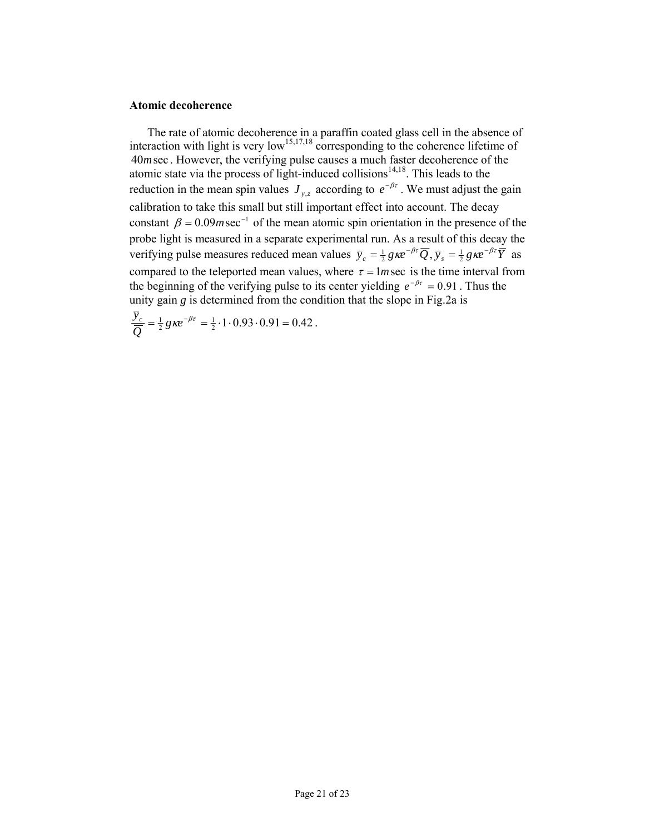#### **Atomic decoherence**

The rate of atomic decoherence in a paraffin coated glass cell in the absence of interaction with light is very low<sup>15,17,18</sup> corresponding to the coherence lifetime of 40*m*sec . However, the verifying pulse causes a much faster decoherence of the atomic state via the process of light-induced collisions $14,18$ . This leads to the reduction in the mean spin values  $J_{y,z}$  according to  $e^{-\beta t}$ . We must adjust the gain calibration to take this small but still important effect into account. The decay constant  $\beta = 0.09$  msec<sup>-1</sup> of the mean atomic spin orientation in the presence of the probe light is measured in a separate experimental run. As a result of this decay the verifying pulse measures reduced mean values  $\bar{y}_c = \frac{1}{2} g \kappa e^{-\beta \tau} \overline{Q}, \bar{y}_s = \frac{1}{2} g \kappa e^{-\beta \tau} \overline{Y}$  as compared to the teleported mean values, where  $\tau = Im \sec$  is the time interval from the beginning of the verifying pulse to its center yielding  $e^{-\beta \tau} = 0.91$ . Thus the unity gain *g* is determined from the condition that the slope in Fig.2a is

$$
\frac{\overline{y}_c}{\overline{Q}} = \frac{1}{2} g \kappa e^{-\beta \tau} = \frac{1}{2} \cdot 1 \cdot 0.93 \cdot 0.91 = 0.42.
$$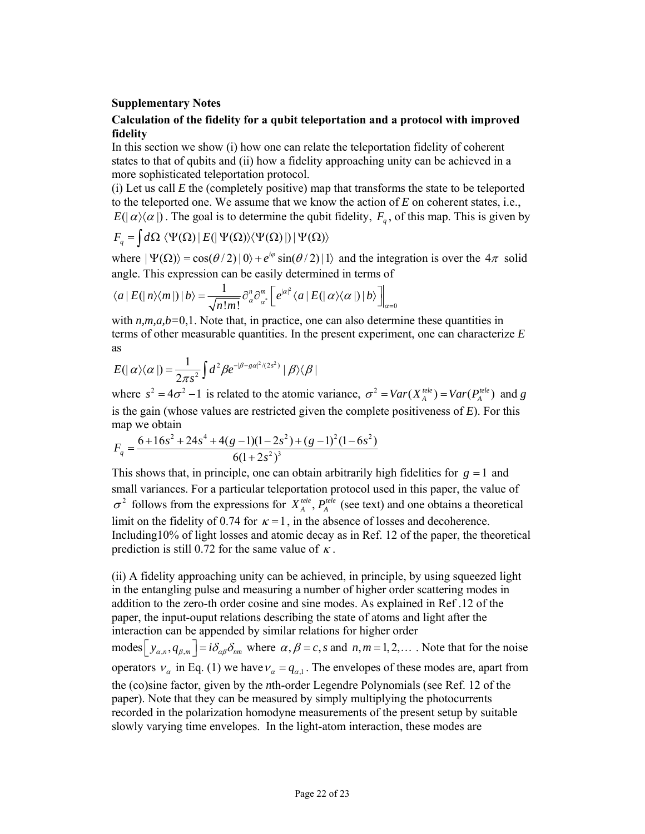# **Supplementary Notes**

# **Calculation of the fidelity for a qubit teleportation and a protocol with improved fidelity**

In this section we show (i) how one can relate the teleportation fidelity of coherent states to that of qubits and (ii) how a fidelity approaching unity can be achieved in a more sophisticated teleportation protocol.

(i) Let us call  $E$  the (completely positive) map that transforms the state to be teleported to the teleported one. We assume that we know the action of *E* on coherent states, i.e.,  $E(|\alpha\rangle\langle\alpha|)$ . The goal is to determine the qubit fidelity,  $F_{\alpha}$ , of this map. This is given by

$$
F_q = \int d\Omega \, \langle \Psi(\Omega) | E(|\Psi(\Omega) \rangle \langle \Psi(\Omega) |) | \Psi(\Omega) \rangle
$$

where  $|\Psi(\Omega)\rangle = \cos(\theta/2) |0\rangle + e^{i\varphi} \sin(\theta/2) |1\rangle$  and the integration is over the  $4\pi$  solid angle. This expression can be easily determined in terms of

$$
\langle a | E(|n\rangle\langle m|) | b \rangle = \frac{1}{\sqrt{n!m!}} \partial_{\alpha}^{n} \partial_{\alpha^{*}}^{m} \left[ e^{|\alpha|^{2}} \langle a | E(|\alpha\rangle\langle\alpha|) | b \rangle \right] |_{\alpha=0}
$$

with  $n,m,a,b=0,1$ . Note that, in practice, one can also determine these quantities in terms of other measurable quantities. In the present experiment, one can characterize *E* as

$$
E(|\alpha\rangle\langle\alpha|) = \frac{1}{2\pi s^2} \int d^2\beta e^{-|\beta - s\alpha|^2/(2s^2)} |\beta\rangle\langle\beta|
$$

where  $s^2 = 4\sigma^2 - 1$  is related to the atomic variance,  $\sigma^2 = Var(X_A^{tele}) = Var(P_A^{tele})$  and *g* is the gain (whose values are restricted given the complete positiveness of *E*). For this map we obtain

$$
F_q = \frac{6 + 16s^2 + 24s^4 + 4(g - 1)(1 - 2s^2) + (g - 1)^2(1 - 6s^2)}{6(1 + 2s^2)^3}
$$

This shows that, in principle, one can obtain arbitrarily high fidelities for  $g = 1$  and small variances. For a particular teleportation protocol used in this paper, the value of  $\sigma^2$  follows from the expressions for  $X_A^{tele}$ ,  $P_A^{tele}$  (see text) and one obtains a theoretical limit on the fidelity of 0.74 for  $\kappa = 1$ , in the absence of losses and decoherence. Including10% of light losses and atomic decay as in Ref. 12 of the paper, the theoretical prediction is still 0.72 for the same value of  $\kappa$ .

(ii) A fidelity approaching unity can be achieved, in principle, by using squeezed light in the entangling pulse and measuring a number of higher order scattering modes in addition to the zero-th order cosine and sine modes. As explained in Ref .12 of the paper, the input-ouput relations describing the state of atoms and light after the interaction can be appended by similar relations for higher order modes  $\left[y_{\alpha,n}, q_{\beta,m}\right] = i\delta_{\alpha\beta}\delta_{nm}$  where  $\alpha, \beta = c, s$  and  $n, m = 1, 2, \dots$ . Note that for the noise operators  $v_{\alpha}$  in Eq. (1) we have  $v_{\alpha} = q_{\alpha,1}$ . The envelopes of these modes are, apart from the (co)sine factor, given by the *n*th-order Legendre Polynomials (see Ref. 12 of the paper). Note that they can be measured by simply multiplying the photocurrents recorded in the polarization homodyne measurements of the present setup by suitable slowly varying time envelopes. In the light-atom interaction, these modes are